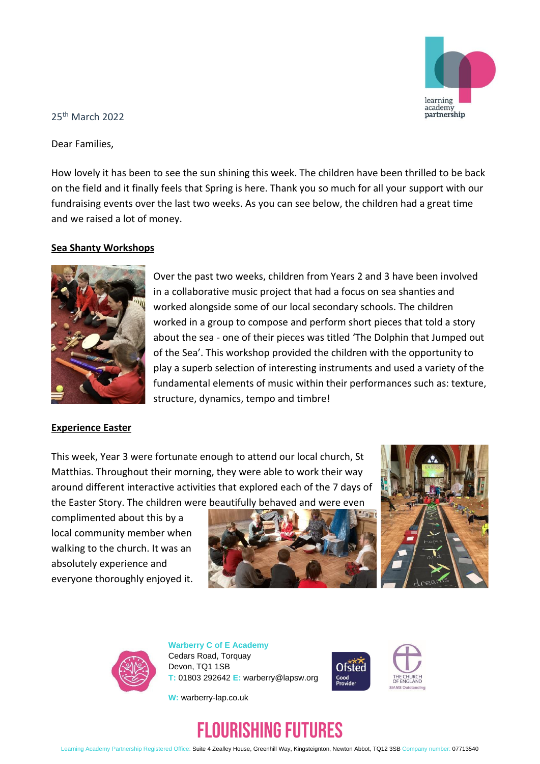

25th March 2022

Dear Families,

How lovely it has been to see the sun shining this week. The children have been thrilled to be back on the field and it finally feels that Spring is here. Thank you so much for all your support with our fundraising events over the last two weeks. As you can see below, the children had a great time and we raised a lot of money.

### **Sea Shanty Workshops**



Over the past two weeks, children from Years 2 and 3 have been involved in a collaborative music project that had a focus on sea shanties and worked alongside some of our local secondary schools. The children worked in a group to compose and perform short pieces that told a story about the sea - one of their pieces was titled 'The Dolphin that Jumped out of the Sea'. This workshop provided the children with the opportunity to play a superb selection of interesting instruments and used a variety of the fundamental elements of music within their performances such as: texture, structure, dynamics, tempo and timbre!

### **Experience Easter**

This week, Year 3 were fortunate enough to attend our local church, St Matthias. Throughout their morning, they were able to work their way around different interactive activities that explored each of the 7 days of the Easter Story. The children were beautifully behaved and were even

complimented about this by a local community member when walking to the church. It was an absolutely experience and everyone thoroughly enjoyed it.







**Warberry C of E Academy** Cedars Road, Torquay Devon, TQ1 1SB **T:** 01803 292642 **E:** warberry@lapsw.org



**W:** warberry-lap.co.uk



Learning Academy Partnership Registered Office: Suite 4 Zealley House, Greenhill Way, Kingsteignton, Newton Abbot, TQ12 3SB Company number: 07713540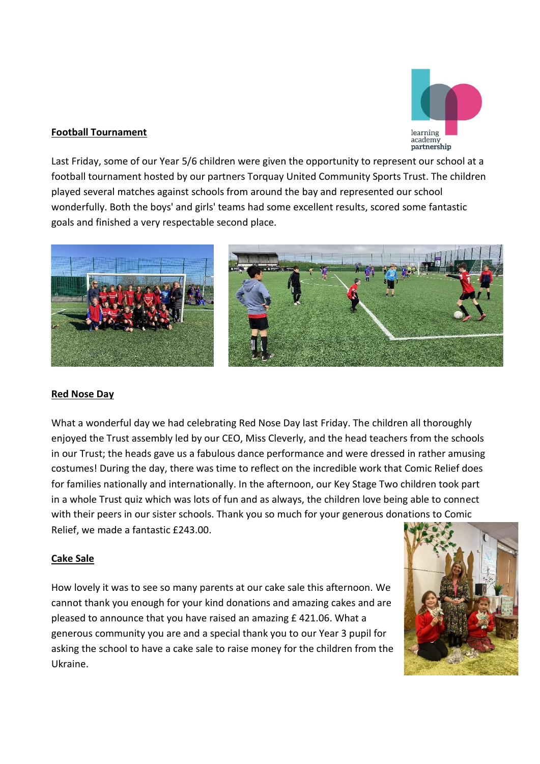

## **Football Tournament**

Last Friday, some of our Year 5/6 children were given the opportunity to represent our school at a football tournament hosted by our partners Torquay United Community Sports Trust. The children played several matches against schools from around the bay and represented our school wonderfully. Both the boys' and girls' teams had some excellent results, scored some fantastic goals and finished a very respectable second place.



### **Red Nose Day**

What a wonderful day we had celebrating Red Nose Day last Friday. The children all thoroughly enjoyed the Trust assembly led by our CEO, Miss Cleverly, and the head teachers from the schools in our Trust; the heads gave us a fabulous dance performance and were dressed in rather amusing costumes! During the day, there was time to reflect on the incredible work that Comic Relief does for families nationally and internationally. In the afternoon, our Key Stage Two children took part in a whole Trust quiz which was lots of fun and as always, the children love being able to connect with their peers in our sister schools. Thank you so much for your generous donations to Comic Relief, we made a fantastic £243.00.

### **Cake Sale**

How lovely it was to see so many parents at our cake sale this afternoon. We cannot thank you enough for your kind donations and amazing cakes and are pleased to announce that you have raised an amazing £ 421.06. What a generous community you are and a special thank you to our Year 3 pupil for asking the school to have a cake sale to raise money for the children from the Ukraine.